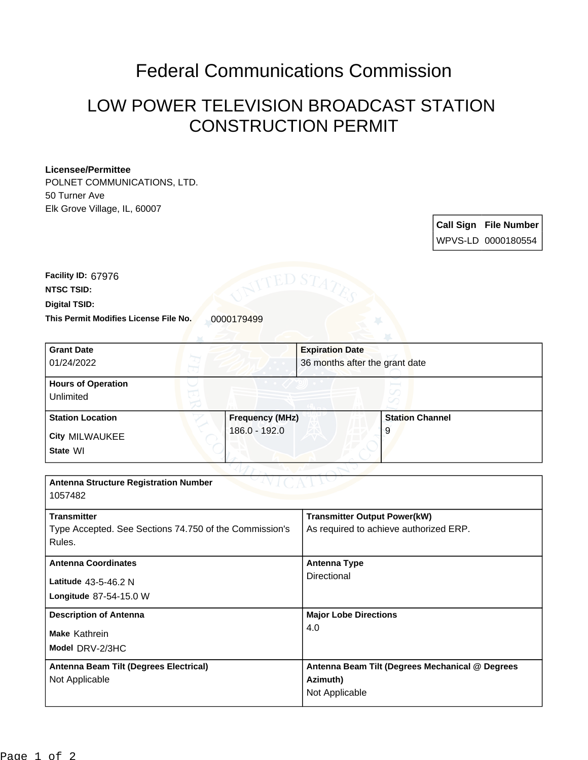## Federal Communications Commission

## LOW POWER TELEVISION BROADCAST STATION CONSTRUCTION PERMIT

## **Licensee/Permittee**

POLNET COMMUNICATIONS, LTD. 50 Turner Ave Elk Grove Village, IL, 60007

> **Call Sign File Number** WPVS-LD 0000180554

This Permit Modifies License File No. 0000179499 **Digital TSID: NTSC TSID: Facility ID:** 67976

| <b>Grant Date</b>                                      |                        | <b>Expiration Date</b>                          |                        |
|--------------------------------------------------------|------------------------|-------------------------------------------------|------------------------|
| 01/24/2022                                             |                        | 36 months after the grant date                  |                        |
| <b>Hours of Operation</b>                              |                        |                                                 |                        |
| Unlimited                                              |                        |                                                 |                        |
| <b>Station Location</b>                                | <b>Frequency (MHz)</b> |                                                 | <b>Station Channel</b> |
| <b>City MILWAUKEE</b>                                  | 186.0 - 192.0          |                                                 | 9                      |
| State WI                                               |                        |                                                 |                        |
|                                                        |                        |                                                 |                        |
| <b>Antenna Structure Registration Number</b>           |                        |                                                 |                        |
| 1057482                                                |                        |                                                 |                        |
| <b>Transmitter</b>                                     |                        | <b>Transmitter Output Power(kW)</b>             |                        |
| Type Accepted. See Sections 74.750 of the Commission's |                        | As required to achieve authorized ERP.          |                        |
| Rules.                                                 |                        |                                                 |                        |
| <b>Antenna Coordinates</b>                             |                        | <b>Antenna Type</b>                             |                        |
| Latitude 43-5-46.2 N                                   |                        | <b>Directional</b>                              |                        |
| Longitude 87-54-15.0 W                                 |                        |                                                 |                        |
| <b>Description of Antenna</b>                          |                        | <b>Major Lobe Directions</b>                    |                        |
| Make Kathrein                                          |                        | 4.0                                             |                        |
| Model DRV-2/3HC                                        |                        |                                                 |                        |
| Antenna Beam Tilt (Degrees Electrical)                 |                        | Antenna Beam Tilt (Degrees Mechanical @ Degrees |                        |
| Not Applicable                                         |                        | Azimuth)                                        |                        |
|                                                        |                        | Not Applicable                                  |                        |